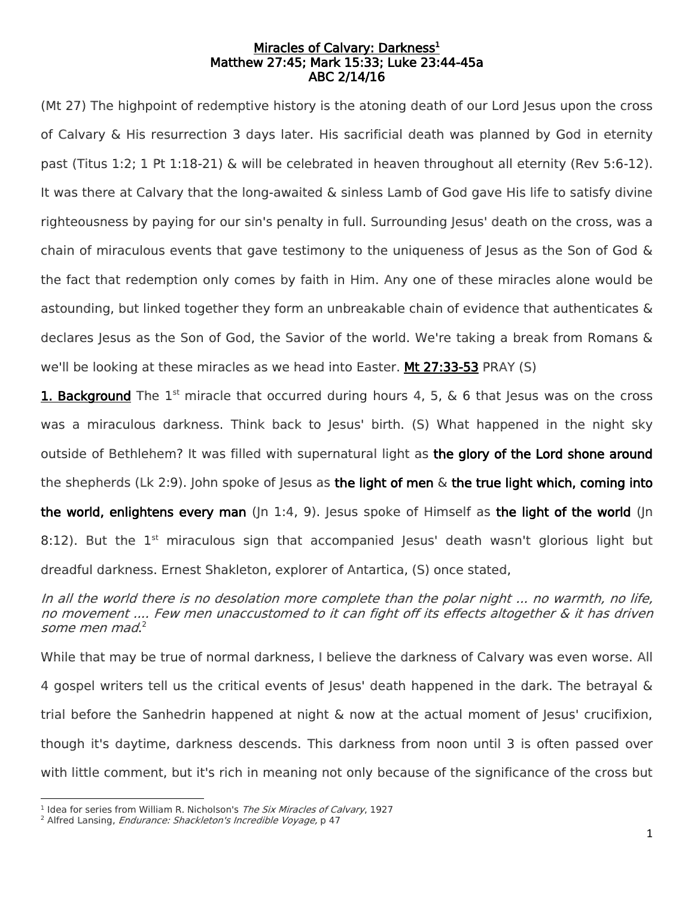## Miracles of Calvary: Darkness<sup>1</sup> Matthew 27:45; Mark 15:33; Luke 23:44-45a ABC 2/14/16

(Mt 27) The highpoint of redemptive history is the atoning death of our Lord Jesus upon the cross of Calvary & His resurrection 3 days later. His sacrificial death was planned by God in eternity past (Titus 1:2; 1 Pt 1:18-21) & will be celebrated in heaven throughout all eternity (Rev 5:6-12). It was there at Calvary that the long-awaited & sinless Lamb of God gave His life to satisfy divine righteousness by paying for our sin's penalty in full. Surrounding Jesus' death on the cross, was a chain of miraculous events that gave testimony to the uniqueness of lesus as the Son of God  $\&$ the fact that redemption only comes by faith in Him. Any one of these miracles alone would be astounding, but linked together they form an unbreakable chain of evidence that authenticates & declares Jesus as the Son of God, the Savior of the world. We're taking a break from Romans & we'll be looking at these miracles as we head into Easter. Mt 27:33-53 PRAY (S)

1. Background The 1<sup>st</sup> miracle that occurred during hours 4, 5, & 6 that Jesus was on the cross was a miraculous darkness. Think back to Jesus' birth. (S) What happened in the night sky outside of Bethlehem? It was filled with supernatural light as the glory of the Lord shone around the shepherds (Lk 2:9). John spoke of Jesus as the light of men  $\&$  the true light which, coming into the world, enlightens every man  $(\ln 1:4, 9)$ . Jesus spoke of Himself as the light of the world  $(\ln 1:4)$ 8:12). But the  $1<sup>st</sup>$  miraculous sign that accompanied Jesus' death wasn't glorious light but dreadful darkness. Ernest Shakleton, explorer of Antartica, (S) once stated,

In all the world there is no desolation more complete than the polar night ... no warmth, no life, no movement .... Few men unaccustomed to it can fight off its effects altogether & it has driven some men mad. 2

While that may be true of normal darkness, I believe the darkness of Calvary was even worse. All 4 gospel writers tell us the critical events of Jesus' death happened in the dark. The betrayal & trial before the Sanhedrin happened at night & now at the actual moment of Jesus' crucifixion, though it's daytime, darkness descends. This darkness from noon until 3 is often passed over with little comment, but it's rich in meaning not only because of the significance of the cross but

 1 Idea for series from William R. Nicholson's The Six Miracles of Calvary, 1927

<sup>&</sup>lt;sup>2</sup> Alfred Lansing, *Endurance: Shackleton's Incredible Voyage*, p 47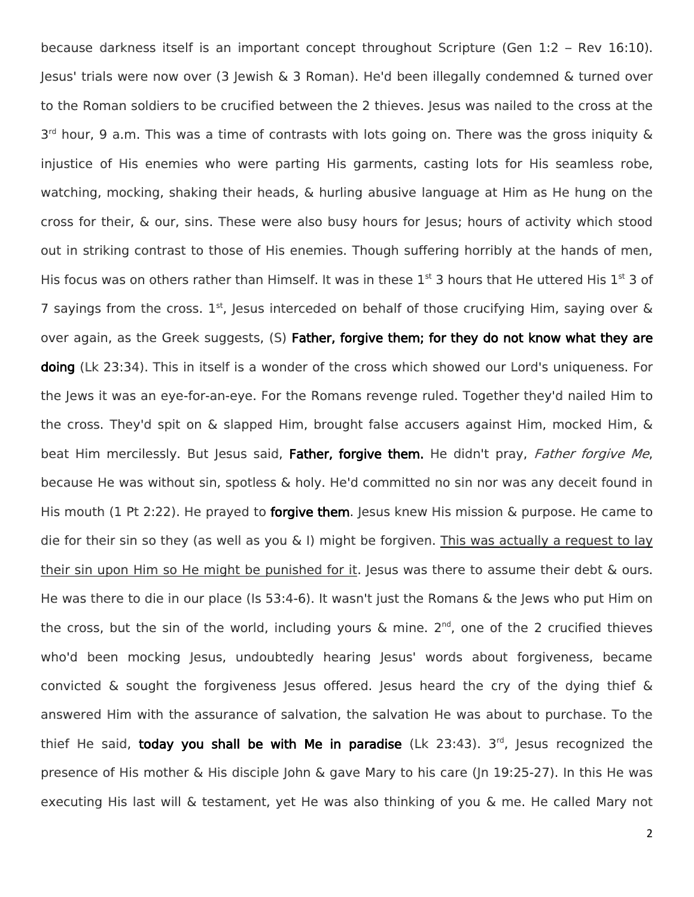because darkness itself is an important concept throughout Scripture (Gen 1:2 – Rev 16:10). Jesus' trials were now over (3 Jewish & 3 Roman). He'd been illegally condemned & turned over to the Roman soldiers to be crucified between the 2 thieves. Jesus was nailed to the cross at the 3<sup>rd</sup> hour, 9 a.m. This was a time of contrasts with lots going on. There was the gross iniquity & injustice of His enemies who were parting His garments, casting lots for His seamless robe, watching, mocking, shaking their heads, & hurling abusive language at Him as He hung on the cross for their, & our, sins. These were also busy hours for Jesus; hours of activity which stood out in striking contrast to those of His enemies. Though suffering horribly at the hands of men, His focus was on others rather than Himself. It was in these  $1<sup>st</sup>$  3 hours that He uttered His  $1<sup>st</sup>$  3 of 7 sayings from the cross.  $1<sup>st</sup>$ , Jesus interceded on behalf of those crucifying Him, saying over  $\&$ over again, as the Greek suggests, (S) Father, forgive them; for they do not know what they are doing (Lk 23:34). This in itself is a wonder of the cross which showed our Lord's uniqueness. For the Jews it was an eye-for-an-eye. For the Romans revenge ruled. Together they'd nailed Him to the cross. They'd spit on & slapped Him, brought false accusers against Him, mocked Him, & beat Him mercilessly. But Jesus said, Father, forgive them. He didn't pray, Father forgive Me, because He was without sin, spotless & holy. He'd committed no sin nor was any deceit found in His mouth (1 Pt 2:22). He prayed to **forgive them**. Jesus knew His mission & purpose. He came to die for their sin so they (as well as you  $\&$  I) might be forgiven. This was actually a request to lay their sin upon Him so He might be punished for it. Jesus was there to assume their debt & ours. He was there to die in our place (Is 53:4-6). It wasn't just the Romans & the Jews who put Him on the cross, but the sin of the world, including yours  $\&$  mine. 2<sup>nd</sup>, one of the 2 crucified thieves who'd been mocking Jesus, undoubtedly hearing Jesus' words about forgiveness, became convicted & sought the forgiveness Jesus offered. Jesus heard the cry of the dying thief & answered Him with the assurance of salvation, the salvation He was about to purchase. To the thief He said, today you shall be with Me in paradise (Lk 23:43). 3<sup>rd</sup>, Jesus recognized the presence of His mother & His disciple John & gave Mary to his care (Jn 19:25-27). In this He was executing His last will & testament, yet He was also thinking of you & me. He called Mary not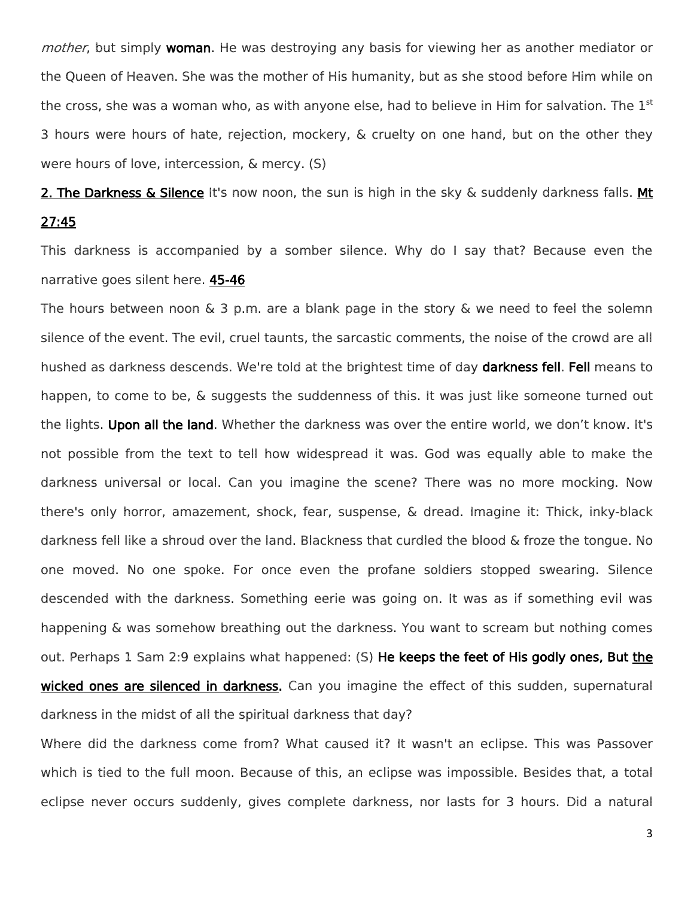mother, but simply woman. He was destroying any basis for viewing her as another mediator or the Queen of Heaven. She was the mother of His humanity, but as she stood before Him while on the cross, she was a woman who, as with anyone else, had to believe in Him for salvation. The  $1<sup>st</sup>$ 3 hours were hours of hate, rejection, mockery, & cruelty on one hand, but on the other they were hours of love, intercession, & mercy. (S)

2. The Darkness & Silence It's now noon, the sun is high in the sky & suddenly darkness falls. Mt 27:45

This darkness is accompanied by a somber silence. Why do I say that? Because even the narrative goes silent here. 45-46

The hours between noon  $\&$  3 p.m. are a blank page in the story  $\&$  we need to feel the solemn silence of the event. The evil, cruel taunts, the sarcastic comments, the noise of the crowd are all hushed as darkness descends. We're told at the brightest time of day darkness fell. Fell means to happen, to come to be, & suggests the suddenness of this. It was just like someone turned out the lights. Upon all the land. Whether the darkness was over the entire world, we don't know. It's not possible from the text to tell how widespread it was. God was equally able to make the darkness universal or local. Can you imagine the scene? There was no more mocking. Now there's only horror, amazement, shock, fear, suspense, & dread. Imagine it: Thick, inky-black darkness fell like a shroud over the land. Blackness that curdled the blood & froze the tongue. No one moved. No one spoke. For once even the profane soldiers stopped swearing. Silence descended with the darkness. Something eerie was going on. It was as if something evil was happening & was somehow breathing out the darkness. You want to scream but nothing comes out. Perhaps 1 Sam 2:9 explains what happened: (S) He keeps the feet of His godly ones, But the wicked ones are silenced in darkness. Can you imagine the effect of this sudden, supernatural darkness in the midst of all the spiritual darkness that day?

Where did the darkness come from? What caused it? It wasn't an eclipse. This was Passover which is tied to the full moon. Because of this, an eclipse was impossible. Besides that, a total eclipse never occurs suddenly, gives complete darkness, nor lasts for 3 hours. Did a natural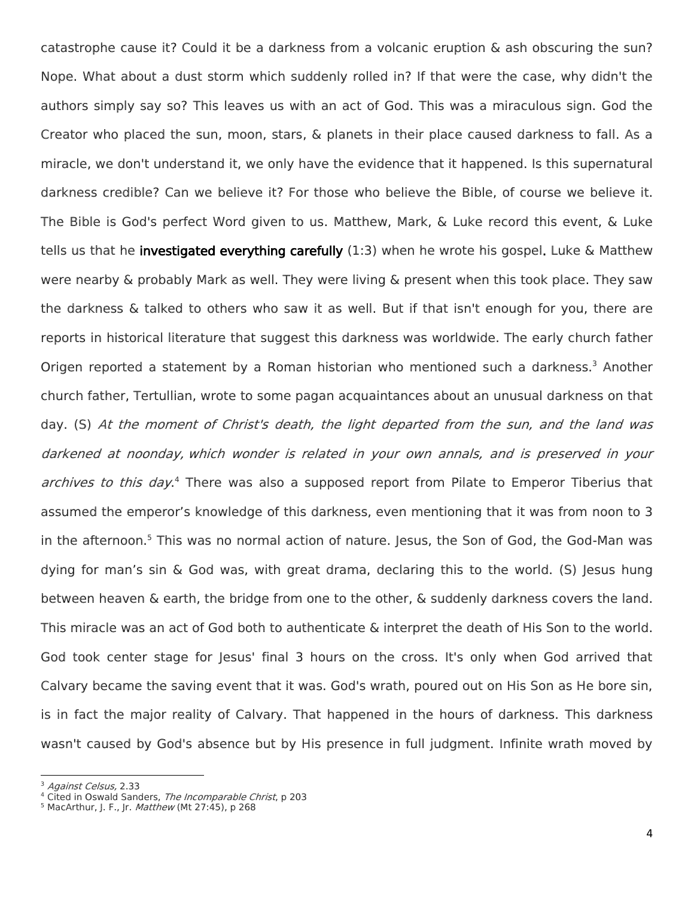catastrophe cause it? Could it be a darkness from a volcanic eruption & ash obscuring the sun? Nope. What about a dust storm which suddenly rolled in? If that were the case, why didn't the authors simply say so? This leaves us with an act of God. This was a miraculous sign. God the Creator who placed the sun, moon, stars, & planets in their place caused darkness to fall. As a miracle, we don't understand it, we only have the evidence that it happened. Is this supernatural darkness credible? Can we believe it? For those who believe the Bible, of course we believe it. The Bible is God's perfect Word given to us. Matthew, Mark, & Luke record this event, & Luke tells us that he investigated everything carefully  $(1:3)$  when he wrote his gospel. Luke & Matthew were nearby & probably Mark as well. They were living & present when this took place. They saw the darkness & talked to others who saw it as well. But if that isn't enough for you, there are reports in historical literature that suggest this darkness was worldwide. The early church father Origen reported a statement by a Roman historian who mentioned such a darkness.<sup>3</sup> Another church father, Tertullian, wrote to some pagan acquaintances about an unusual darkness on that day. (S) At the moment of Christ's death, the light departed from the sun, and the land was darkened at noonday, which wonder is related in your own annals, and is preserved in your archives to this day.<sup>4</sup> There was also a supposed report from Pilate to Emperor Tiberius that assumed the emperor's knowledge of this darkness, even mentioning that it was from noon to 3 in the afternoon.<sup>5</sup> This was no normal action of nature. Jesus, the Son of God, the God-Man was dying for man's sin & God was, with great drama, declaring this to the world. (S) Jesus hung between heaven & earth, the bridge from one to the other, & suddenly darkness covers the land. This miracle was an act of God both to authenticate & interpret the death of His Son to the world. God took center stage for Jesus' final 3 hours on the cross. It's only when God arrived that Calvary became the saving event that it was. God's wrath, poured out on His Son as He bore sin, is in fact the major reality of Calvary. That happened in the hours of darkness. This darkness wasn't caused by God's absence but by His presence in full judgment. Infinite wrath moved by

 $\overline{\phantom{a}}$ <sup>3</sup> Against Celsus, 2.33

<sup>&</sup>lt;sup>4</sup> Cited in Oswald Sanders, The Incomparable Christ, p 203

<sup>&</sup>lt;sup>5</sup> MacArthur, J. F., Jr. Matthew (Mt 27:45), p 268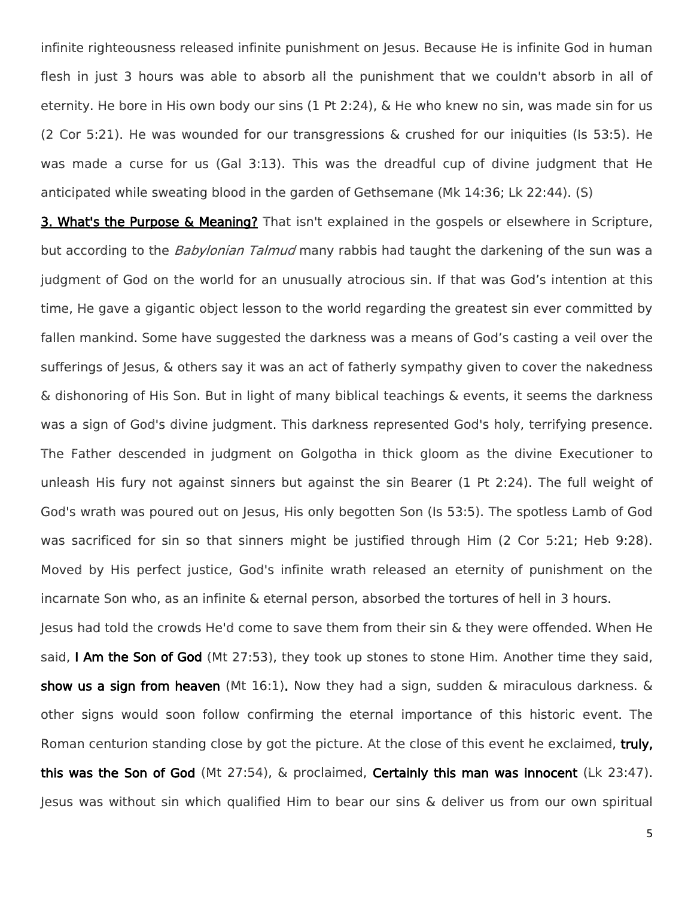infinite righteousness released infinite punishment on Jesus. Because He is infinite God in human flesh in just 3 hours was able to absorb all the punishment that we couldn't absorb in all of eternity. He bore in His own body our sins (1 Pt 2:24), & He who knew no sin, was made sin for us (2 Cor 5:21). He was wounded for our transgressions & crushed for our iniquities (Is 53:5). He was made a curse for us (Gal 3:13). This was the dreadful cup of divine judgment that He anticipated while sweating blood in the garden of Gethsemane (Mk 14:36; Lk 22:44). (S)

3. What's the Purpose & Meaning? That isn't explained in the gospels or elsewhere in Scripture, but according to the *Babylonian Talmud* many rabbis had taught the darkening of the sun was a judgment of God on the world for an unusually atrocious sin. If that was God's intention at this time, He gave a gigantic object lesson to the world regarding the greatest sin ever committed by fallen mankind. Some have suggested the darkness was a means of God's casting a veil over the sufferings of Jesus, & others say it was an act of fatherly sympathy given to cover the nakedness & dishonoring of His Son. But in light of many biblical teachings & events, it seems the darkness was a sign of God's divine judgment. This darkness represented God's holy, terrifying presence. The Father descended in judgment on Golgotha in thick gloom as the divine Executioner to unleash His fury not against sinners but against the sin Bearer (1 Pt 2:24). The full weight of God's wrath was poured out on Jesus, His only begotten Son (Is 53:5). The spotless Lamb of God was sacrificed for sin so that sinners might be justified through Him (2 Cor 5:21; Heb 9:28). Moved by His perfect justice, God's infinite wrath released an eternity of punishment on the incarnate Son who, as an infinite & eternal person, absorbed the tortures of hell in 3 hours.

Jesus had told the crowds He'd come to save them from their sin & they were offended. When He said, I Am the Son of God (Mt 27:53), they took up stones to stone Him. Another time they said, show us a sign from heaven (Mt 16:1). Now they had a sign, sudden & miraculous darkness. & other signs would soon follow confirming the eternal importance of this historic event. The Roman centurion standing close by got the picture. At the close of this event he exclaimed, truly, this was the Son of God (Mt 27:54), & proclaimed, Certainly this man was innocent (Lk 23:47). Jesus was without sin which qualified Him to bear our sins & deliver us from our own spiritual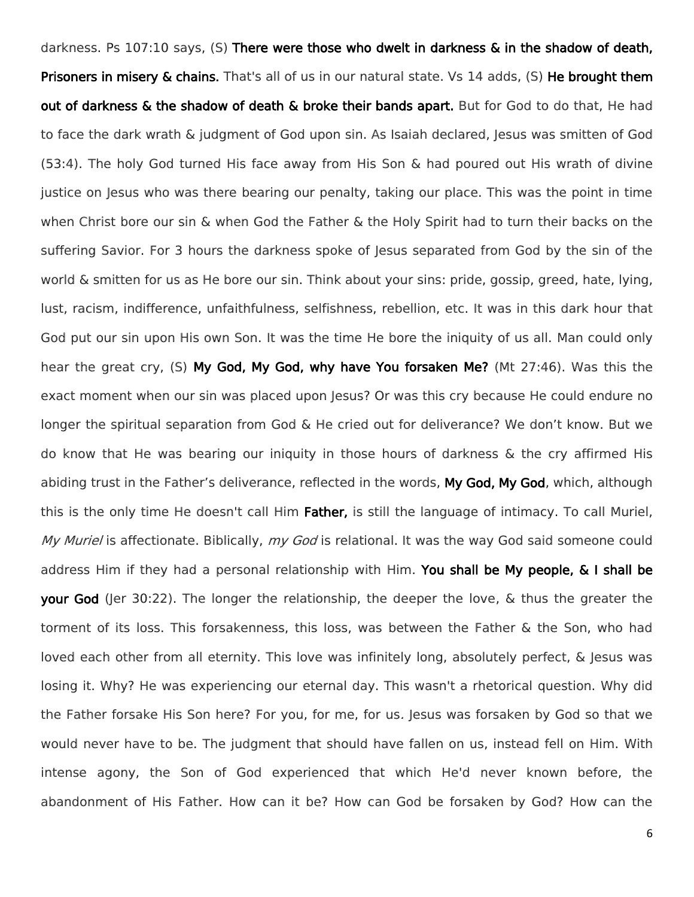darkness. Ps 107:10 says, (S) There were those who dwelt in darkness & in the shadow of death, Prisoners in misery & chains. That's all of us in our natural state. Vs 14 adds, (S) He brought them out of darkness & the shadow of death & broke their bands apart. But for God to do that, He had to face the dark wrath & judgment of God upon sin. As Isaiah declared, Jesus was smitten of God (53:4). The holy God turned His face away from His Son & had poured out His wrath of divine justice on Jesus who was there bearing our penalty, taking our place. This was the point in time when Christ bore our sin & when God the Father & the Holy Spirit had to turn their backs on the suffering Savior. For 3 hours the darkness spoke of Jesus separated from God by the sin of the world & smitten for us as He bore our sin. Think about your sins: pride, gossip, greed, hate, lying, lust, racism, indifference, unfaithfulness, selfishness, rebellion, etc. It was in this dark hour that God put our sin upon His own Son. It was the time He bore the iniquity of us all. Man could only hear the great cry, (S) My God, My God, why have You forsaken Me? (Mt 27:46). Was this the exact moment when our sin was placed upon Jesus? Or was this cry because He could endure no longer the spiritual separation from God & He cried out for deliverance? We don't know. But we do know that He was bearing our iniquity in those hours of darkness & the cry affirmed His abiding trust in the Father's deliverance, reflected in the words, My God, My God, which, although this is the only time He doesn't call Him Father, is still the language of intimacy. To call Muriel, My Muriel is affectionate. Biblically, my God is relational. It was the way God said someone could address Him if they had a personal relationship with Him. You shall be My people, & I shall be your God (Ier 30:22). The longer the relationship, the deeper the love, & thus the greater the torment of its loss. This forsakenness, this loss, was between the Father & the Son, who had loved each other from all eternity. This love was infinitely long, absolutely perfect, & lesus was losing it. Why? He was experiencing our eternal day. This wasn't a rhetorical question. Why did the Father forsake His Son here? For you, for me, for us. Jesus was forsaken by God so that we would never have to be. The judgment that should have fallen on us, instead fell on Him. With intense agony, the Son of God experienced that which He'd never known before, the abandonment of His Father. How can it be? How can God be forsaken by God? How can the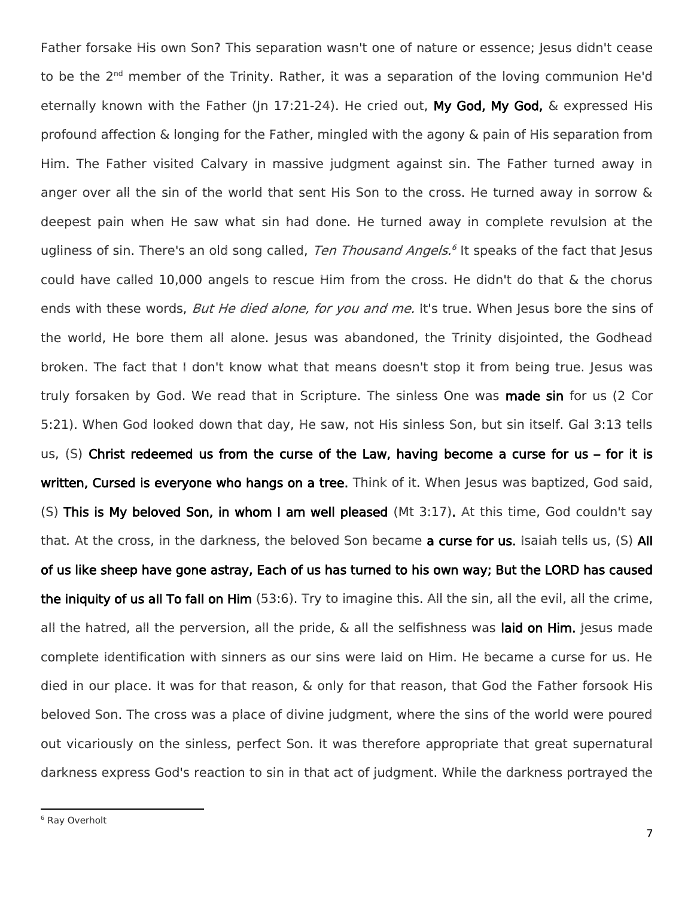Father forsake His own Son? This separation wasn't one of nature or essence; Jesus didn't cease to be the 2<sup>nd</sup> member of the Trinity. Rather, it was a separation of the loving communion He'd eternally known with the Father (In 17:21-24). He cried out, My God, My God, & expressed His profound affection & longing for the Father, mingled with the agony & pain of His separation from Him. The Father visited Calvary in massive judgment against sin. The Father turned away in anger over all the sin of the world that sent His Son to the cross. He turned away in sorrow & deepest pain when He saw what sin had done. He turned away in complete revulsion at the ugliness of sin. There's an old song called, *Ten Thousand Angels.*<sup>6</sup> It speaks of the fact that Jesus could have called 10,000 angels to rescue Him from the cross. He didn't do that & the chorus ends with these words, But He died alone, for you and me. It's true. When Jesus bore the sins of the world. He bore them all alone, lesus was abandoned, the Trinity disiointed, the Godhead broken. The fact that I don't know what that means doesn't stop it from being true. Jesus was truly forsaken by God. We read that in Scripture. The sinless One was made sin for us (2 Cor 5:21). When God looked down that day, He saw, not His sinless Son, but sin itself. Gal 3:13 tells us, (S) Christ redeemed us from the curse of the Law, having become a curse for us – for it is written, Cursed is everyone who hangs on a tree. Think of it. When Jesus was baptized, God said, (S) This is My beloved Son, in whom I am well pleased (Mt 3:17). At this time, God couldn't say that. At the cross, in the darkness, the beloved Son became a curse for us. Isaiah tells us, (S) All of us like sheep have gone astray, Each of us has turned to his own way; But the LORD has caused the iniquity of us all To fall on Him (53:6). Try to imagine this. All the sin, all the evil, all the crime, all the hatred, all the perversion, all the pride, & all the selfishness was laid on Him. Jesus made complete identification with sinners as our sins were laid on Him. He became a curse for us. He died in our place. It was for that reason, & only for that reason, that God the Father forsook His beloved Son. The cross was a place of divine judgment, where the sins of the world were poured out vicariously on the sinless, perfect Son. It was therefore appropriate that great supernatural darkness express God's reaction to sin in that act of judgment. While the darkness portrayed the

 $\overline{\phantom{a}}$ 

<sup>6</sup> Ray Overholt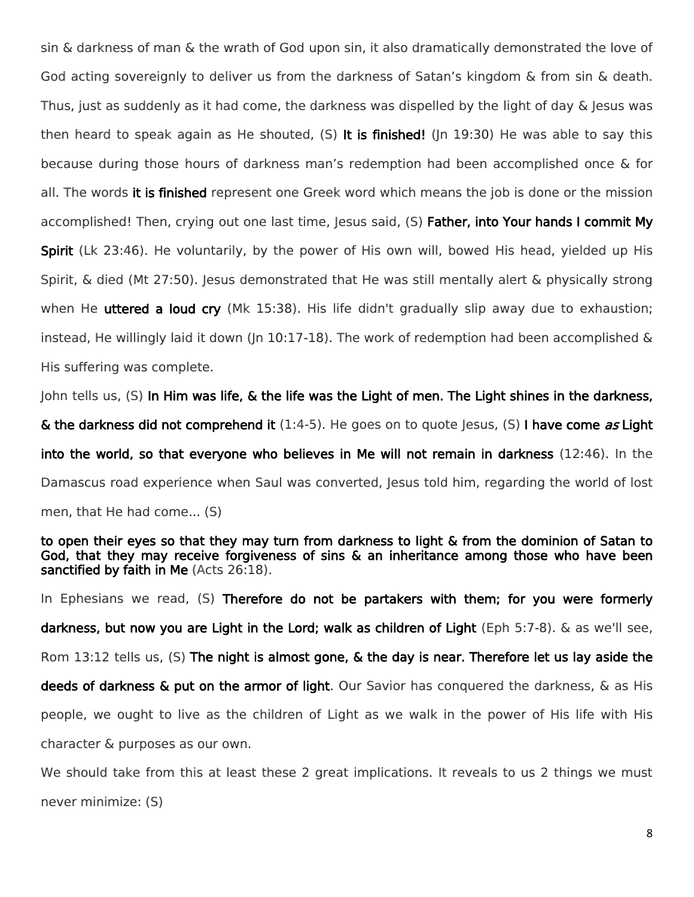sin & darkness of man & the wrath of God upon sin, it also dramatically demonstrated the love of God acting sovereignly to deliver us from the darkness of Satan's kingdom & from sin & death. Thus, just as suddenly as it had come, the darkness was dispelled by the light of day & Jesus was then heard to speak again as He shouted,  $(S)$  It is finished! (In 19:30) He was able to say this because during those hours of darkness man's redemption had been accomplished once & for all. The words it is finished represent one Greek word which means the job is done or the mission accomplished! Then, crying out one last time, Jesus said, (S) Father, into Your hands I commit My Spirit (Lk 23:46). He voluntarily, by the power of His own will, bowed His head, yielded up His Spirit, & died (Mt 27:50). Jesus demonstrated that He was still mentally alert & physically strong when He **uttered a loud cry** (Mk 15:38). His life didn't gradually slip away due to exhaustion; instead, He willingly laid it down (Jn 10:17-18). The work of redemption had been accomplished  $\&$ His suffering was complete.

John tells us, (S) In Him was life, & the life was the Light of men. The Light shines in the darkness, & the darkness did not comprehend it  $(1:4-5)$ . He goes on to quote Jesus, (S) I have come as Light into the world, so that everyone who believes in Me will not remain in darkness (12:46). In the Damascus road experience when Saul was converted, Jesus told him, regarding the world of lost men, that He had come... (S)

to open their eyes so that they may turn from darkness to light & from the dominion of Satan to God, that they may receive forgiveness of sins & an inheritance among those who have been sanctified by faith in Me (Acts 26:18).

In Ephesians we read, (S) Therefore do not be partakers with them; for you were formerly darkness, but now you are Light in the Lord; walk as children of Light (Eph 5:7-8). & as we'll see, Rom 13:12 tells us, (S) The night is almost gone, & the day is near. Therefore let us lay aside the deeds of darkness & put on the armor of light. Our Savior has conquered the darkness, & as His people, we ought to live as the children of Light as we walk in the power of His life with His character & purposes as our own.

We should take from this at least these 2 great implications. It reveals to us 2 things we must never minimize: (S)